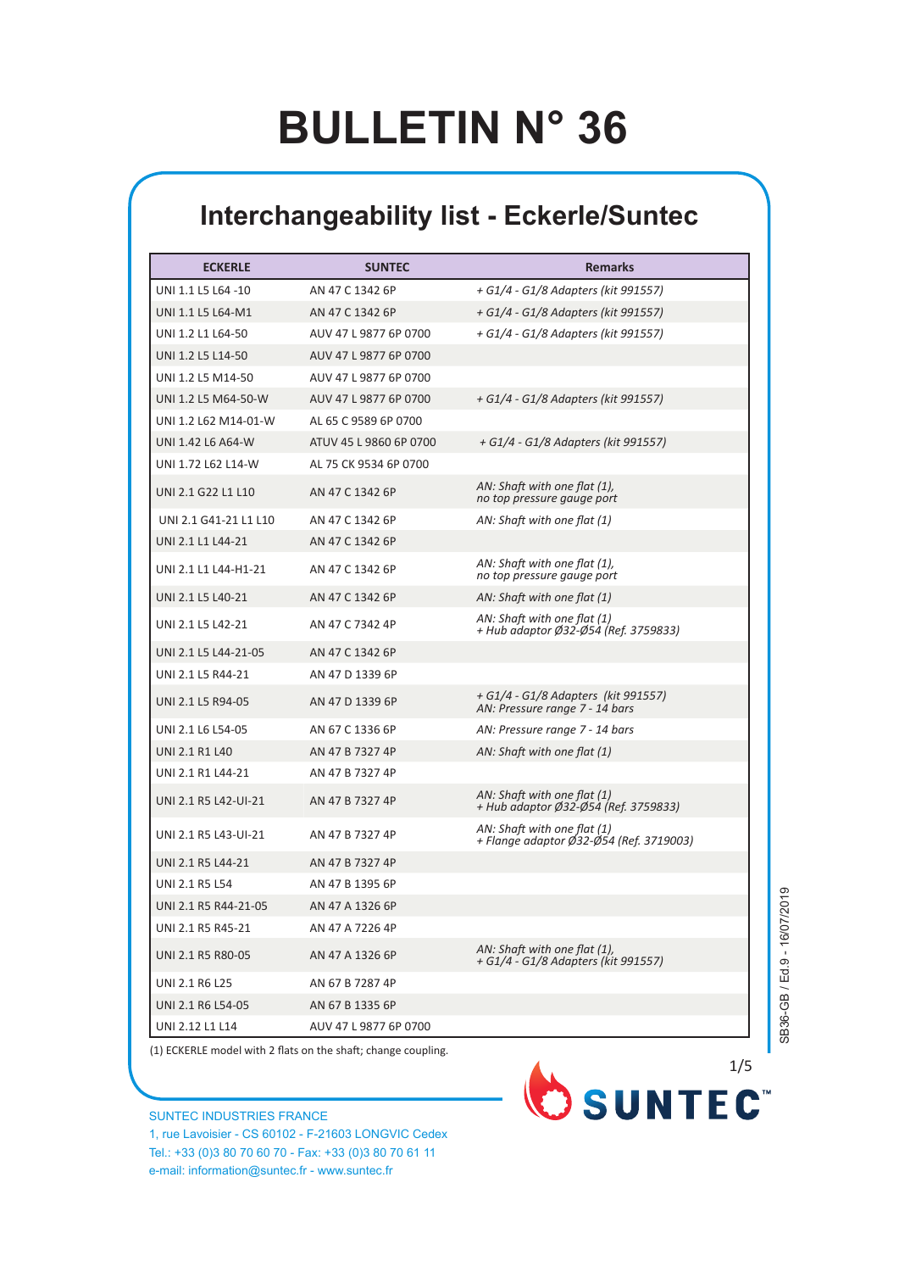## **BULLETIN N° 36**

## **Interchangeability list - Eckerle/Suntec**

| <b>ECKERLE</b>        | <b>SUNTEC</b>          | <b>Remarks</b>                                                         |
|-----------------------|------------------------|------------------------------------------------------------------------|
| UNI 1.1 L5 L64 -10    | AN 47 C 1342 6P        | + G1/4 - G1/8 Adapters (kit 991557)                                    |
| UNI 1.1 L5 L64-M1     | AN 47 C 1342 6P        | + G1/4 - G1/8 Adapters (kit 991557)                                    |
| UNI 1.2 L1 L64-50     | AUV 47 L 9877 6P 0700  | + G1/4 - G1/8 Adapters (kit 991557)                                    |
| UNI 1.2 L5 L14-50     | AUV 47 L 9877 6P 0700  |                                                                        |
| UNI 1.2 L5 M14-50     | AUV 47 L 9877 6P 0700  |                                                                        |
| UNI 1.2 L5 M64-50-W   | AUV 47 L 9877 6P 0700  | + G1/4 - G1/8 Adapters (kit 991557)                                    |
| UNI 1.2 L62 M14-01-W  | AL 65 C 9589 6P 0700   |                                                                        |
| UNI 1.42 L6 A64-W     | ATUV 45 L 9860 6P 0700 | + G1/4 - G1/8 Adapters (kit 991557)                                    |
| UNI 1.72 L62 L14-W    | AL 75 CK 9534 6P 0700  |                                                                        |
| UNI 2.1 G22 L1 L10    | AN 47 C 1342 6P        | AN: Shaft with one flat (1),<br>no top pressure gauge port             |
| UNI 2.1 G41-21 L1 L10 | AN 47 C 1342 6P        | AN: Shaft with one flat (1)                                            |
| UNI 2.1 L1 L44-21     | AN 47 C 1342 6P        |                                                                        |
| UNI 2.1 L1 L44-H1-21  | AN 47 C 1342 6P        | AN: Shaft with one flat (1),<br>no top pressure gauge port             |
| UNI 2.1 L5 L40-21     | AN 47 C 1342 6P        | AN: Shaft with one flat (1)                                            |
| UNI 2.1 L5 L42-21     | AN 47 C 7342 4P        | AN: Shaft with one flat (1)<br>+ Hub adaptor Ø32-Ø54 (Ref. 3759833)    |
| UNI 2.1 L5 L44-21-05  | AN 47 C 1342 6P        |                                                                        |
| UNI 2.1 L5 R44-21     | AN 47 D 1339 6P        |                                                                        |
| UNI 2.1 L5 R94-05     | AN 47 D 1339 6P        | + G1/4 - G1/8 Adapters (kit 991557)<br>AN: Pressure range 7 - 14 bars  |
| UNI 2.1 L6 L54-05     | AN 67 C 1336 6P        | AN: Pressure range 7 - 14 bars                                         |
| <b>UNI 2.1 R1 L40</b> | AN 47 B 7327 4P        | AN: Shaft with one flat (1)                                            |
| UNI 2.1 R1 L44-21     | AN 47 B 7327 4P        |                                                                        |
| UNI 2.1 R5 L42-UI-21  | AN 47 B 7327 4P        | AN: Shaft with one flat (1)<br>+ Hub adaptor Ø32-Ø54 (Ref. 3759833)    |
| UNI 2.1 R5 L43-UI-21  | AN 47 B 7327 4P        | AN: Shaft with one flat (1)<br>+ Flange adaptor Ø32-Ø54 (Ref. 3719003) |
| UNI 2.1 R5 L44-21     | AN 47 B 7327 4P        |                                                                        |
| <b>UNI 2.1 R5 L54</b> | AN 47 B 1395 6P        |                                                                        |
| UNI 2.1 R5 R44-21-05  | AN 47 A 1326 6P        |                                                                        |
| UNI 2.1 R5 R45-21     | AN 47 A 7226 4P        |                                                                        |
| UNI 2.1 R5 R80-05     | AN 47 A 1326 6P        | AN: Shaft with one flat (1),<br>+ G1/4 - G1/8 Adapters (Kit 991557)    |
| <b>UNI 2.1 R6 L25</b> | AN 67 B 7287 4P        |                                                                        |
| UNI 2.1 R6 L54-05     | AN 67 B 1335 6P        |                                                                        |
| UNI 2.12 L1 L14       | AUV 47 L 9877 6P 0700  |                                                                        |

(1) ECKERLE model with 2 flats on the shaft; change coupling.

SUNTEC INDUSTRIES FRANCE 1, rue Lavoisier - CS 60102 - F-21603 LONGVIC Cedex Tel.: +33 (0)3 80 70 60 70 - Fax: +33 (0)3 80 70 61 11 e-mail: information@suntec.fr - www.suntec.fr

SB36-GB / Ed.9 - 16/07/2019

SB36-GB / Ed.9 - 16/07/2019

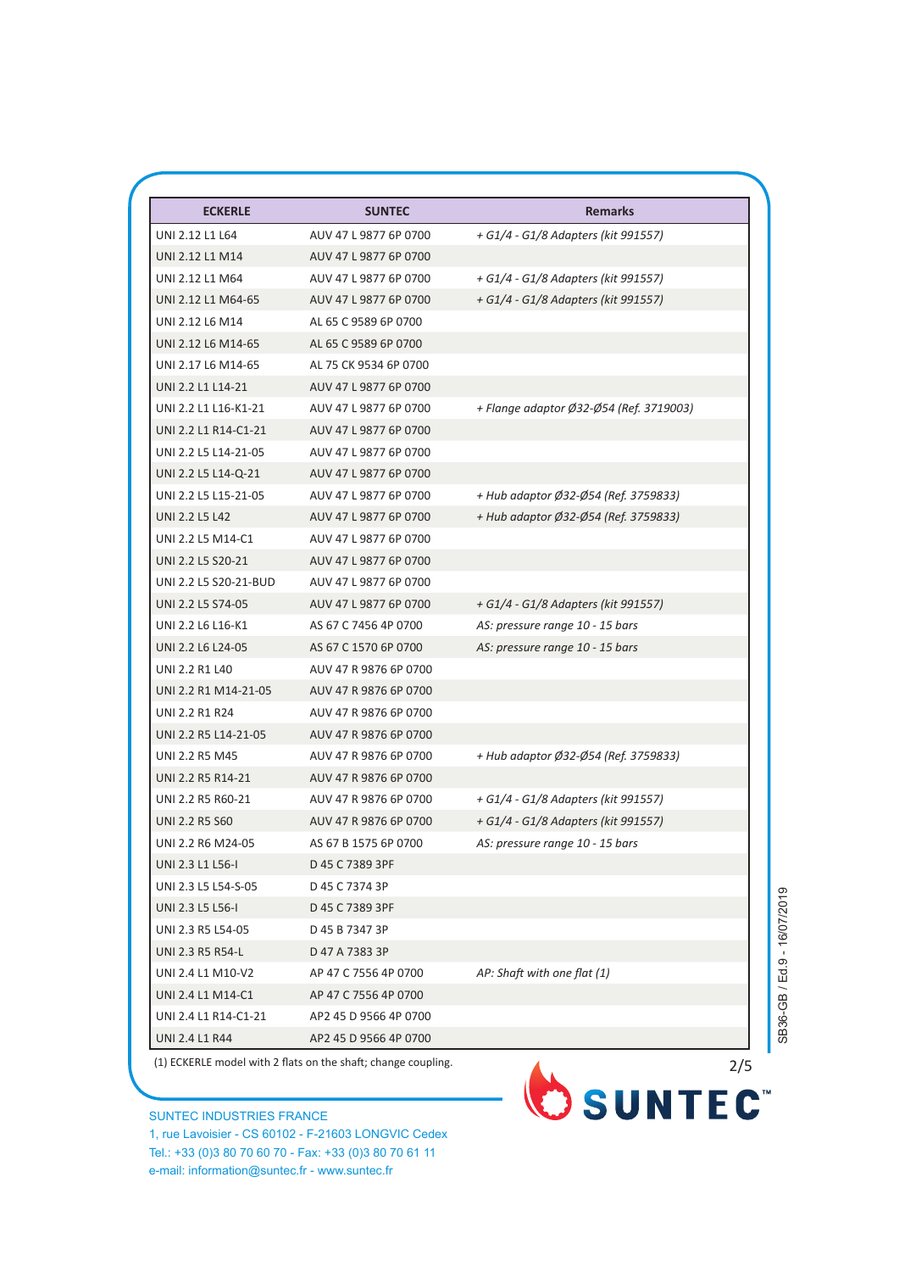| <b>ECKERLE</b>        | <b>SUNTEC</b>         | <b>Remarks</b>                          |
|-----------------------|-----------------------|-----------------------------------------|
| UNI 2.12 L1 L64       | AUV 47 L 9877 6P 0700 | + G1/4 - G1/8 Adapters (kit 991557)     |
| UNI 2.12 L1 M14       | AUV 47 L 9877 6P 0700 |                                         |
| UNI 2.12 L1 M64       | AUV 47 L 9877 6P 0700 | + G1/4 - G1/8 Adapters (kit 991557)     |
| UNI 2.12 L1 M64-65    | AUV 47 L 9877 6P 0700 | + G1/4 - G1/8 Adapters (kit 991557)     |
| UNI 2.12 L6 M14       | AL 65 C 9589 6P 0700  |                                         |
| UNI 2.12 L6 M14-65    | AL 65 C 9589 6P 0700  |                                         |
| UNI 2.17 L6 M14-65    | AL 75 CK 9534 6P 0700 |                                         |
| UNI 2.2 L1 L14-21     | AUV 47 L 9877 6P 0700 |                                         |
| UNI 2.2 L1 L16-K1-21  | AUV 47 L 9877 6P 0700 | + Flange adaptor Ø32-Ø54 (Ref. 3719003) |
| UNI 2.2 L1 R14-C1-21  | AUV 47 L 9877 6P 0700 |                                         |
| UNI 2.2 L5 L14-21-05  | AUV 47 L 9877 6P 0700 |                                         |
| UNI 2.2 L5 L14-Q-21   | AUV 47 L 9877 6P 0700 |                                         |
| UNI 2.2 L5 L15-21-05  | AUV 47 L 9877 6P 0700 | + Hub adaptor Ø32-Ø54 (Ref. 3759833)    |
| <b>UNI 2.2 L5 L42</b> | AUV 47 L 9877 6P 0700 | + Hub adaptor Ø32-Ø54 (Ref. 3759833)    |
| UNI 2.2 L5 M14-C1     | AUV 47 L 9877 6P 0700 |                                         |
| UNI 2.2 L5 S20-21     | AUV 47 L 9877 6P 0700 |                                         |
| UNI 2.2 L5 S20-21-BUD | AUV 47 L 9877 6P 0700 |                                         |
| UNI 2.2 L5 S74-05     | AUV 47 L 9877 6P 0700 | + G1/4 - G1/8 Adapters (kit 991557)     |
| UNI 2.2 L6 L16-K1     | AS 67 C 7456 4P 0700  | AS: pressure range 10 - 15 bars         |
| UNI 2.2 L6 L24-05     | AS 67 C 1570 6P 0700  | AS: pressure range 10 - 15 bars         |
| UNI 2.2 R1 L40        | AUV 47 R 9876 6P 0700 |                                         |
| UNI 2.2 R1 M14-21-05  | AUV 47 R 9876 6P 0700 |                                         |
| <b>UNI 2.2 R1 R24</b> | AUV 47 R 9876 6P 0700 |                                         |
| UNI 2.2 R5 L14-21-05  | AUV 47 R 9876 6P 0700 |                                         |
| UNI 2.2 R5 M45        | AUV 47 R 9876 6P 0700 | + Hub adaptor Ø32-Ø54 (Ref. 3759833)    |
| UNI 2.2 R5 R14-21     | AUV 47 R 9876 6P 0700 |                                         |
| UNI 2.2 R5 R60-21     | AUV 47 R 9876 6P 0700 | + G1/4 - G1/8 Adapters (kit 991557)     |
| UNI 2.2 R5 S60        | AUV 47 R 9876 6P 0700 | + G1/4 - G1/8 Adapters (kit 991557)     |
| UNI 2.2 R6 M24-05     | AS 67 B 1575 6P 0700  | AS: pressure range 10 - 15 bars         |
| UNI 2.3 L1 L56-I      | D 45 C 7389 3PF       |                                         |
| UNI 2.3 L5 L54-S-05   | D 45 C 7374 3P        |                                         |
| UNI 2.3 L5 L56-I      | D 45 C 7389 3PF       |                                         |
| UNI 2.3 R5 L54-05     | D 45 B 7347 3P        |                                         |
| UNI 2.3 R5 R54-L      | D 47 A 7383 3P        |                                         |
| UNI 2.4 L1 M10-V2     | AP 47 C 7556 4P 0700  | AP: Shaft with one flat (1)             |
| UNI 2.4 L1 M14-C1     | AP 47 C 7556 4P 0700  |                                         |
| UNI 2.4 L1 R14-C1-21  | AP2 45 D 9566 4P 0700 |                                         |
| UNI 2.4 L1 R44        | AP2 45 D 9566 4P 0700 |                                         |

(1) ECKERLE model with 2 flats on the shaft; change coupling.

SUNTEC INDUSTRIES FRANCE 1, rue Lavoisier - CS 60102 - F-21603 LONGVIC Cedex Tel.: +33 (0)3 80 70 60 70 - Fax: +33 (0)3 80 70 61 11 e-mail: information@suntec.fr - www.suntec.fr



SB36-GB / Ed.9 - 16/07/2019 SB36-GB / Ed.9 - 16/07/2019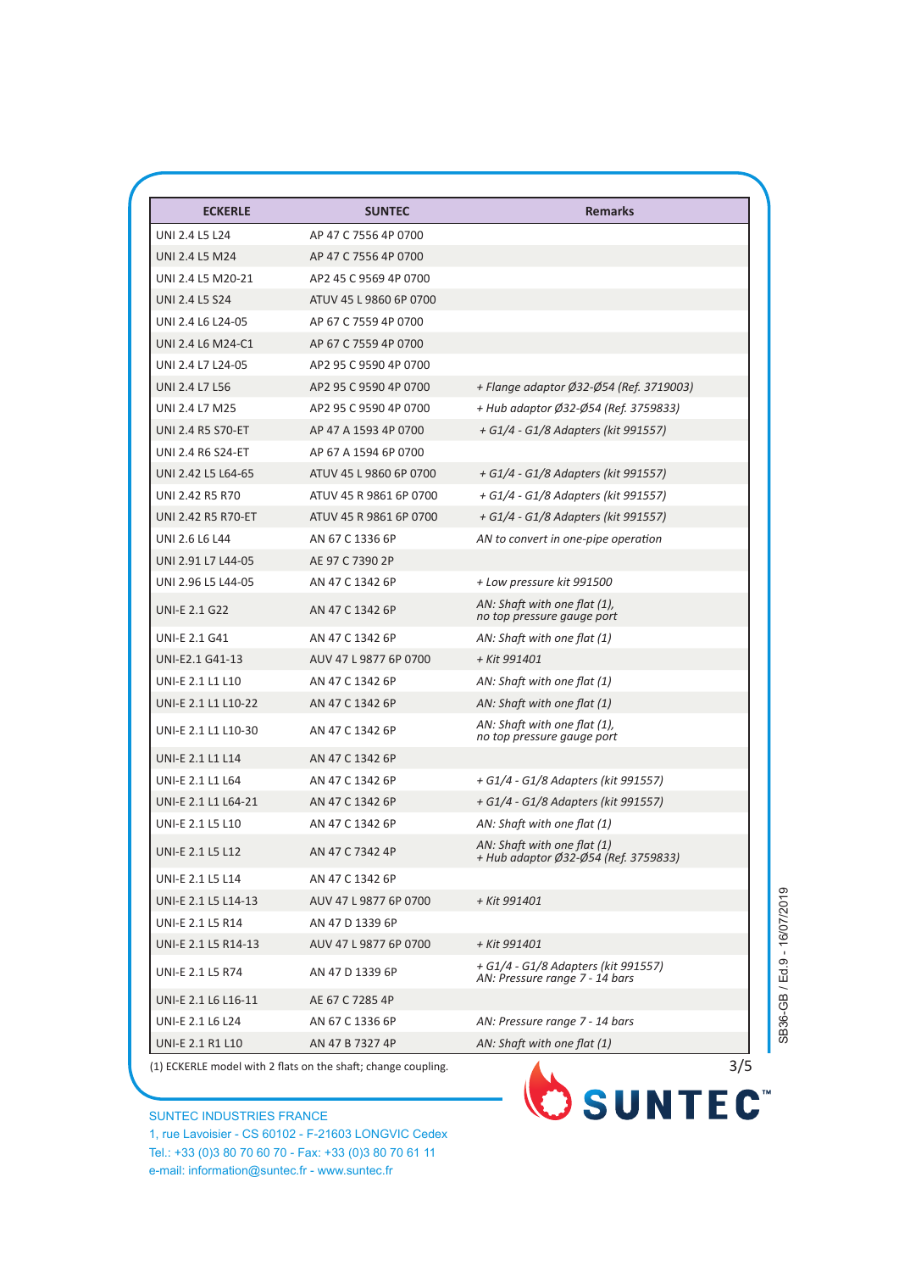| <b>ECKERLE</b>           | <b>SUNTEC</b>          | <b>Remarks</b>                                                        |
|--------------------------|------------------------|-----------------------------------------------------------------------|
| <b>UNI 2.4 L5 L24</b>    | AP 47 C 7556 4P 0700   |                                                                       |
| UNI 2.4 L5 M24           | AP 47 C 7556 4P 0700   |                                                                       |
| UNI 2.4 L5 M20-21        | AP2 45 C 9569 4P 0700  |                                                                       |
| <b>UNI 2.4 L5 S24</b>    | ATUV 45 L 9860 6P 0700 |                                                                       |
| UNI 2.4 L6 L24-05        | AP 67 C 7559 4P 0700   |                                                                       |
| UNI 2.4 L6 M24-C1        | AP 67 C 7559 4P 0700   |                                                                       |
| UNI 2.4 L7 L24-05        | AP2 95 C 9590 4P 0700  |                                                                       |
| UNI 2.4 L7 L56           | AP2 95 C 9590 4P 0700  | + Flange adaptor Ø32-Ø54 (Ref. 3719003)                               |
| UNI 2.4 L7 M25           | AP2 95 C 9590 4P 0700  | + Hub adaptor Ø32-Ø54 (Ref. 3759833)                                  |
| <b>UNI 2.4 R5 S70-ET</b> | AP 47 A 1593 4P 0700   | + G1/4 - G1/8 Adapters (kit 991557)                                   |
| <b>UNI 2.4 R6 S24-ET</b> | AP 67 A 1594 6P 0700   |                                                                       |
| UNI 2.42 L5 L64-65       | ATUV 45 L 9860 6P 0700 | + G1/4 - G1/8 Adapters (kit 991557)                                   |
| UNI 2.42 R5 R70          | ATUV 45 R 9861 6P 0700 | + G1/4 - G1/8 Adapters (kit 991557)                                   |
| UNI 2.42 R5 R70-ET       | ATUV 45 R 9861 6P 0700 | + G1/4 - G1/8 Adapters (kit 991557)                                   |
| UNI 2.6 L6 L44           | AN 67 C 1336 6P        | AN to convert in one-pipe operation                                   |
| UNI 2.91 L7 L44-05       | AE 97 C 7390 2P        |                                                                       |
| UNI 2.96 L5 L44-05       | AN 47 C 1342 6P        | + Low pressure kit 991500                                             |
| <b>UNI-E 2.1 G22</b>     | AN 47 C 1342 6P        | AN: Shaft with one flat (1),<br>no top pressure gauge port            |
| <b>UNI-E 2.1 G41</b>     | AN 47 C 1342 6P        | AN: Shaft with one flat (1)                                           |
| UNI-E2.1 G41-13          | AUV 47 L 9877 6P 0700  | + Kit 991401                                                          |
| <b>UNI-E 2.1 L1 L10</b>  | AN 47 C 1342 6P        | AN: Shaft with one flat (1)                                           |
| UNI-E 2.1 L1 L10-22      | AN 47 C 1342 6P        | AN: Shaft with one flat (1)                                           |
| UNI-E 2.1 L1 L10-30      | AN 47 C 1342 6P        | AN: Shaft with one flat (1),<br>no top pressure gauge port            |
| <b>UNI-E 2.1 L1 L14</b>  | AN 47 C 1342 6P        |                                                                       |
| UNI-E 2.1 L1 L64         | AN 47 C 1342 6P        | + G1/4 - G1/8 Adapters (kit 991557)                                   |
| UNI-E 2.1 L1 L64-21      | AN 47 C 1342 6P        | + G1/4 - G1/8 Adapters (kit 991557)                                   |
| UNI-E 2.1 L5 L10         | AN 47 C 1342 6P        | AN: Shaft with one flat (1)                                           |
| UNI-E 2.1 L5 L12         | AN 47 C 7342 4P        | AN: Shaft with one flat (1)<br>+ Hub adaptor Ø32-Ø54 (Ref. 3759833)   |
| UNI-E 2.1 L5 L14         | AN 47 C 1342 6P        |                                                                       |
| UNI-E 2.1 L5 L14-13      | AUV 47 L 9877 6P 0700  | + Kit 991401                                                          |
| <b>UNI-E 2.1 L5 R14</b>  | AN 47 D 1339 6P        |                                                                       |
| UNI-E 2.1 L5 R14-13      | AUV 47 L 9877 6P 0700  | + Kit 991401                                                          |
| <b>UNI-E 2.1 L5 R74</b>  | AN 47 D 1339 6P        | + G1/4 - G1/8 Adapters (kit 991557)<br>AN: Pressure range 7 - 14 bars |
| UNI-E 2.1 L6 L16-11      | AE 67 C 7285 4P        |                                                                       |
| UNI-E 2.1 L6 L24         | AN 67 C 1336 6P        | AN: Pressure range 7 - 14 bars                                        |
|                          |                        |                                                                       |

SUNTEC INDUSTRIES FRANCE 1, rue Lavoisier - CS 60102 - F-21603 LONGVIC Cedex

Tel.: +33 (0)3 80 70 60 70 - Fax: +33 (0)3 80 70 61 11 e-mail: information@suntec.fr - www.suntec.fr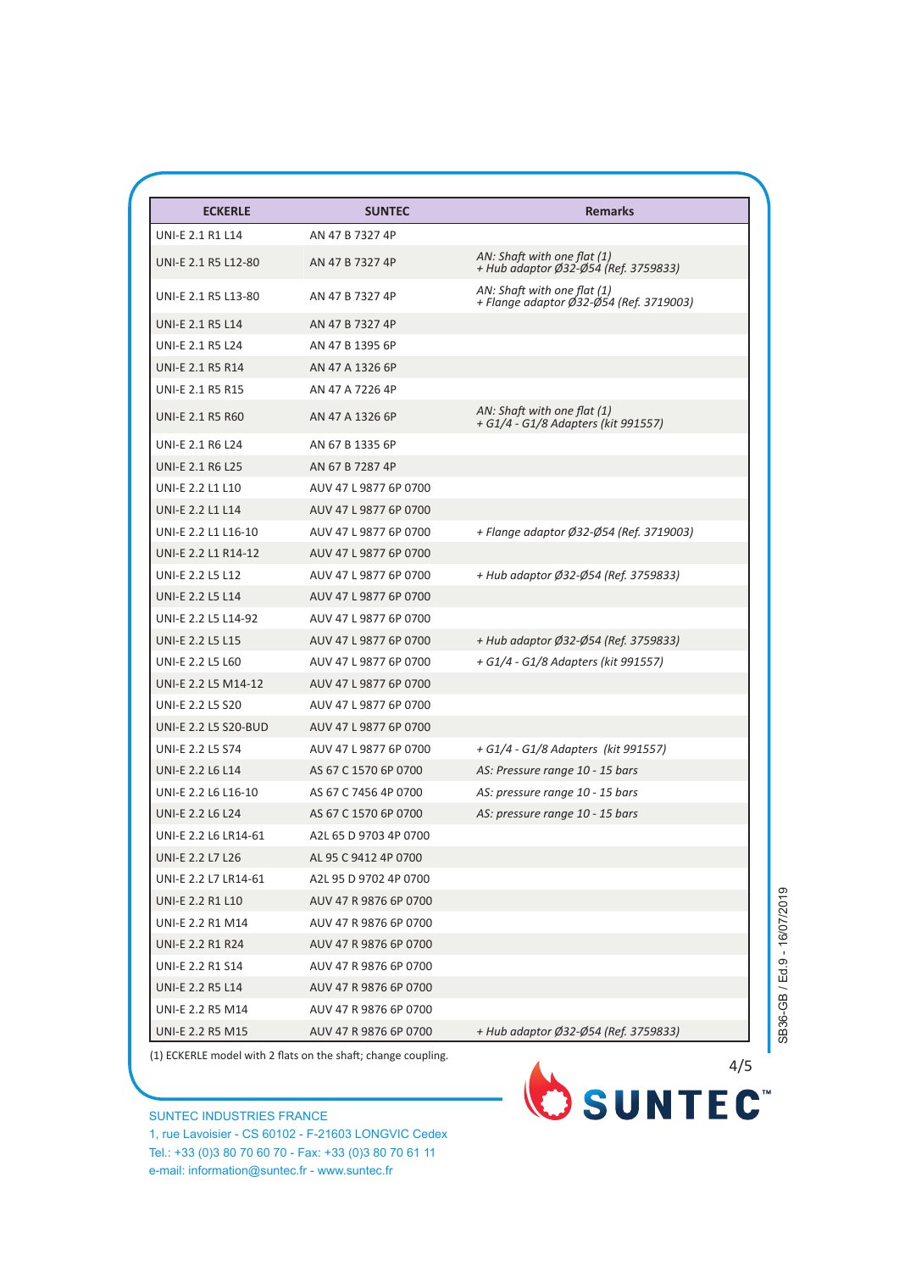| <b>ECKERLE</b>              | <b>SUNTEC</b>         | <b>Remarks</b>                                                         |
|-----------------------------|-----------------------|------------------------------------------------------------------------|
| <b>UNI-E 2.1 R1 L14</b>     | AN 47 B 7327 4P       |                                                                        |
| UNI-E 2.1 R5 L12-80         | AN 47 B 7327 4P       | AN: Shaft with one flat (1)<br>+ Hub adaptor Ø32-Ø54 (Ref. 3759833)    |
| UNI-E 2.1 R5 L13-80         | AN 47 B 7327 4P       | AN: Shaft with one flat (1)<br>+ Flange adaptor Ø32-Ø54 (Ref. 3719003) |
| <b>UNI-E 2.1 R5 L14</b>     | AN 47 B 7327 4P       |                                                                        |
| <b>UNI-E 2.1 R5 L24</b>     | AN 47 B 1395 6P       |                                                                        |
| <b>UNI-E 2.1 R5 R14</b>     | AN 47 A 1326 6P       |                                                                        |
| <b>UNI-E 2.1 R5 R15</b>     | AN 47 A 7226 4P       |                                                                        |
| <b>UNI-E 2.1 R5 R60</b>     | AN 47 A 1326 6P       | AN: Shaft with one flat (1)<br>+ G1/4 - G1/8 Adapters (kit 991557)     |
| <b>UNI-E 2.1 R6 L24</b>     | AN 67 B 1335 6P       |                                                                        |
| <b>UNI-E 2.1 R6 L25</b>     | AN 67 B 7287 4P       |                                                                        |
| UNI-E 2.2 L1 L10            | AUV 47 L 9877 6P 0700 |                                                                        |
| <b>UNI-E 2.2 L1 L14</b>     | AUV 47 L 9877 6P 0700 |                                                                        |
| UNI-E 2.2 L1 L16-10         | AUV 47 L 9877 6P 0700 | + Flange adaptor Ø32-Ø54 (Ref. 3719003)                                |
| UNI-E 2.2 L1 R14-12         | AUV 47 L 9877 6P 0700 |                                                                        |
| <b>UNI-E 2.2 L5 L12</b>     | AUV 47 L 9877 6P 0700 | + Hub adaptor Ø32-Ø54 (Ref. 3759833)                                   |
| <b>UNI-E 2.2 L5 L14</b>     | AUV 47 L 9877 6P 0700 |                                                                        |
| UNI-E 2.2 L5 L14-92         | AUV 47 L 9877 6P 0700 |                                                                        |
| <b>UNI-E 2.2 L5 L15</b>     | AUV 47 L 9877 6P 0700 | + Hub adaptor Ø32-Ø54 (Ref. 3759833)                                   |
| UNI-E 2.2 L5 L60            | AUV 47 L 9877 6P 0700 | + G1/4 - G1/8 Adapters (kit 991557)                                    |
| UNI-E 2.2 L5 M14-12         | AUV 47 L 9877 6P 0700 |                                                                        |
| <b>UNI-E 2.2 L5 S20</b>     | AUV 47 L 9877 6P 0700 |                                                                        |
| <b>UNI-E 2.2 L5 S20-BUD</b> | AUV 47 L 9877 6P 0700 |                                                                        |
| <b>UNI-E 2.2 L5 S74</b>     | AUV 47 L 9877 6P 0700 | + G1/4 - G1/8 Adapters (kit 991557)                                    |
| <b>UNI-E 2.2 L6 L14</b>     | AS 67 C 1570 6P 0700  | AS: Pressure range 10 - 15 bars                                        |
| UNI-E 2.2 L6 L16-10         | AS 67 C 7456 4P 0700  | AS: pressure range 10 - 15 bars                                        |
| <b>UNI-E 2.2 L6 L24</b>     | AS 67 C 1570 6P 0700  | AS: pressure range 10 - 15 bars                                        |
| UNI-E 2.2 L6 LR14-61        | A2L 65 D 9703 4P 0700 |                                                                        |
| <b>UNI-E 2.2 L7 L26</b>     | AL 95 C 9412 4P 0700  |                                                                        |
| UNI-E 2.2 L7 LR14-61        | A2L 95 D 9702 4P 0700 |                                                                        |
| UNI-E 2.2 R1 L10            | AUV 47 R 9876 6P 0700 |                                                                        |
| <b>UNI-E 2.2 R1 M14</b>     | AUV 47 R 9876 6P 0700 |                                                                        |
| <b>UNI-E 2.2 R1 R24</b>     | AUV 47 R 9876 6P 0700 |                                                                        |
| <b>UNI-E 2.2 R1 S14</b>     | AUV 47 R 9876 6P 0700 |                                                                        |
| <b>UNI-E 2.2 R5 L14</b>     | AUV 47 R 9876 6P 0700 |                                                                        |
| UNI-E 2.2 R5 M14            | AUV 47 R 9876 6P 0700 |                                                                        |
| <b>UNI-E 2.2 R5 M15</b>     | AUV 47 R 9876 6P 0700 | + Hub adaptor Ø32-Ø54 (Ref. 3759833)                                   |

SUNTEC INDUSTRIES FRANCE 1, rue Lavoisier - CS 60102 - F-21603 LONGVIC Cedex Tel.: +33 (0)3 80 70 60 70 - Fax: +33 (0)3 80 70 61 11 e-mail: information@suntec.fr - www.suntec.fr



SB36-GB / Ed.9 - 16/07/2019 SB36-GB / Ed.9 - 16/07/2019